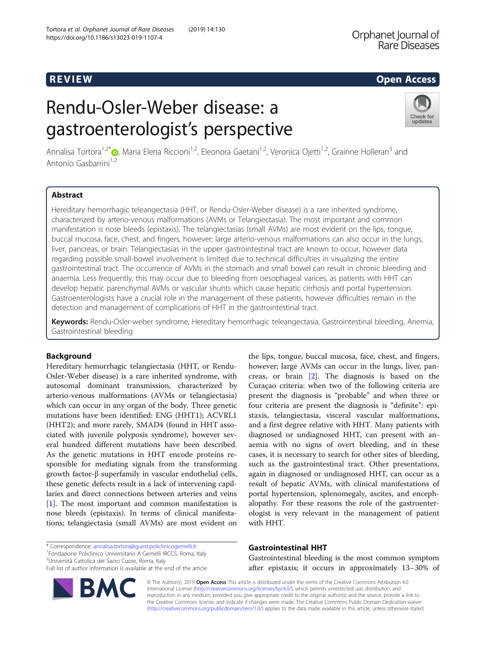# R EVI EW Open Access

# Rendu-Osler-Weber disease: a gastroenterologist's perspective



Annalisa Tortora<sup>1,2[\\*](http://orcid.org/0000-0003-0406-4290)</sup> D. Maria Elena Riccioni<sup>1,2</sup>, Eleonora Gaetani<sup>1,2</sup>, Veronica Ojetti<sup>1,2</sup>, Grainne Holleran<sup>3</sup> and Antonio Gasbarrini<sup>1,2</sup>

# Abstract

Hereditary hemorrhagic teleangectasia (HHT, or Rendu-Osler-Weber disease) is a rare inherited syndrome, characterized by arterio-venous malformations (AVMs or Telangiectasia). The most important and common manifestation is nose bleeds (epistaxis). The telangiectasias (small AVMs) are most evident on the lips, tongue, buccal mucosa, face, chest, and fingers, however; large arterio-venous malformations can also occur in the lungs, liver, pancreas, or brain. Telangiectasias in the upper gastrointestinal tract are known to occur, however data regarding possible small-bowel involvement is limited due to technical difficulties in visualizing the entire gastrointestinal tract. The occurrence of AVMs in the stomach and small bowel can result in chronic bleeding and anaemia. Less frequently, this may occur due to bleeding from oesophageal varices, as patients with HHT can develop hepatic parenchymal AVMs or vascular shunts which cause hepatic cirrhosis and portal hypertension. Gastroenterologists have a crucial role in the management of these patients, however difficulties remain in the detection and management of complications of HHT in the gastrointestinal tract.

Keywords: Rendu-Osler-weber syndrome, Hereditary hemorrhagic teleangectasia, Gastrointestinal bleeding, Anemia, Gastrointestinal bleeding

# **Background**

Hereditary hemorrhagic telangiectasia (HHT, or Rendu-Osler-Weber disease) is a rare inherited syndrome, with autosomal dominant transmission, characterized by arterio-venous malformations (AVMs or telangiectasia) which can occur in any organ of the body. Three genetic mutations have been identified: ENG (HHT1); ACVRL1 (HHT2); and more rarely, SMAD4 (found in HHT associated with juvenile polyposis syndrome), however several hundred different mutations have been described. As the genetic mutations in HHT encode proteins responsible for mediating signals from the transforming growth factor-β superfamily in vascular endothelial cells, these genetic defects result in a lack of intervening capillaries and direct connections between arteries and veins [[1\]](#page-2-0). The most important and common manifestation is nose bleeds (epistaxis). In terms of clinical manifestations; telangiectasia (small AVMs) are most evident on

\* Correspondence: [annalisa.tortora@guest.policlinicogemelli.it](mailto:annalisa.tortora@guest.policlinicogemelli.it) <sup>1</sup>

Fondazione Policlinico Universitario A Gemelli IRCCS, Roma, Italy

<sup>2</sup>Università Cattolica del Sacro Cuore, Roma, Italy

**BM** 

the lips, tongue, buccal mucosa, face, chest, and fingers, however; large AVMs can occur in the lungs, liver, pancreas, or brain [\[2](#page-3-0)]. The diagnosis is based on the Curaçao criteria: when two of the following criteria are present the diagnosis is "probable" and when three or four criteria are present the diagnosis is "definite": epistaxis, telangiectasia, visceral vascular malformations, and a first degree relative with HHT. Many patients with diagnosed or undiagnosed HHT, can present with anaemia with no signs of overt bleeding, and in these cases, it is necessary to search for other sites of bleeding, such as the gastrointestinal tract. Other presentations, again in diagnosed or undiagnosed HHT, can occur as a result of hepatic AVMs, with clinical manifestations of portal hypertension, splenomegaly, ascites, and encephalopathy. For these reasons the role of the gastroenterologist is very relevant in the management of patient with HHT.

## Gastrointestinal HHT

Gastrointestinal bleeding is the most common symptom after epistaxis; it occurs in approximately 13–30% of

© The Author(s). 2019 Open Access This article is distributed under the terms of the Creative Commons Attribution 4.0 International License [\(http://creativecommons.org/licenses/by/4.0/](http://creativecommons.org/licenses/by/4.0/)), which permits unrestricted use, distribution, and reproduction in any medium, provided you give appropriate credit to the original author(s) and the source, provide a link to the Creative Commons license, and indicate if changes were made. The Creative Commons Public Domain Dedication waiver [\(http://creativecommons.org/publicdomain/zero/1.0/](http://creativecommons.org/publicdomain/zero/1.0/)) applies to the data made available in this article, unless otherwise stated.

Full list of author information is available at the end of the article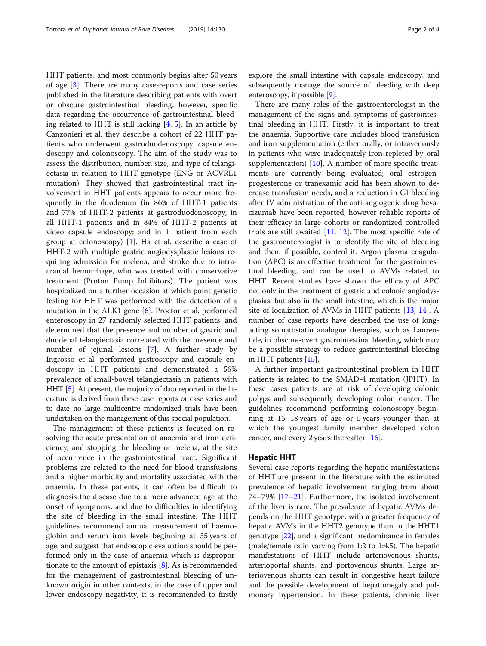HHT patients, and most commonly begins after 50 years of age [\[3](#page-3-0)]. There are many case-reports and case series published in the literature describing patients with overt or obscure gastrointestinal bleeding, however, specific data regarding the occurrence of gastrointestinal bleeding related to HHT is still lacking  $[4, 5]$  $[4, 5]$  $[4, 5]$ . In an article by Canzonieri et al. they describe a cohort of 22 HHT patients who underwent gastroduodenoscopy, capsule endoscopy and colonoscopy. The aim of the study was to assess the distribution, number, size, and type of telangiectasia in relation to HHT genotype (ENG or ACVRL1 mutation). They showed that gastrointestinal tract involvement in HHT patients appears to occur more frequently in the duodenum (in 86% of HHT-1 patients and 77% of HHT-2 patients at gastroduodenoscopy; in all HHT-1 patients and in 84% of HHT-2 patients at video capsule endoscopy; and in 1 patient from each group at colonoscopy)  $[1]$  $[1]$ . Ha et al. describe a case of HHT-2 with multiple gastric angiodysplastic lesions requiring admission for melena, and stroke due to intracranial hemorrhage, who was treated with conservative treatment (Proton Pump Inhibitors). The patient was hospitalized on a further occasion at which point genetic testing for HHT was performed with the detection of a mutation in the ALK1 gene [\[6](#page-3-0)]. Proctor et al. performed enteroscopy in 27 randomly selected HHT patients, and determined that the presence and number of gastric and duodenal telangiectasia correlated with the presence and number of jejunal lesions [\[7](#page-3-0)]. A further study by Ingrosso et al. performed gastroscopy and capsule endoscopy in HHT patients and demonstrated a 56% prevalence of small-bowel telangiectasia in patients with HHT [\[5\]](#page-3-0). At present, the majority of data reported in the literature is derived from these case reports or case series and to date no large multicentre randomized trials have been undertaken on the management of this special population.

The management of these patients is focused on resolving the acute presentation of anaemia and iron deficiency, and stopping the bleeding or melena, at the site of occurrence in the gastrointestinal tract. Significant problems are related to the need for blood transfusions and a higher morbidity and mortality associated with the anaemia. In these patients, it can often be difficult to diagnosis the disease due to a more advanced age at the onset of symptoms, and due to difficulties in identifying the site of bleeding in the small intestine. The HHT guidelines recommend annual measurement of haemoglobin and serum iron levels beginning at 35 years of age, and suggest that endoscopic evaluation should be performed only in the case of anaemia which is disproportionate to the amount of epistaxis [[8](#page-3-0)]. As is recommended for the management of gastrointestinal bleeding of unknown origin in other contexts, in the case of upper and lower endoscopy negativity, it is recommended to firstly explore the small intestine with capsule endoscopy, and subsequently manage the source of bleeding with deep enteroscopy, if possible [[9\]](#page-3-0).

There are many roles of the gastroenterologist in the management of the signs and symptoms of gastrointestinal bleeding in HHT. Firstly, it is important to treat the anaemia. Supportive care includes blood transfusion and iron supplementation (either orally, or intravenously in patients who were inadequately iron-repleted by oral supplementation)  $[10]$  $[10]$  $[10]$ . A number of more specific treatments are currently being evaluated; oral estrogenprogesterone or tranexamic acid has been shown to decrease transfusion needs, and a reduction in GI bleeding after IV administration of the anti-angiogenic drug bevacizumab have been reported, however reliable reports of their efficacy in large cohorts or randomized controlled trials are still awaited [\[11,](#page-3-0) [12](#page-3-0)]. The most specific role of the gastroenterologist is to identify the site of bleeding and then, if possible, control it. Argon plasma coagulation (APC) is an effective treatment for the gastrointestinal bleeding, and can be used to AVMs related to HHT. Recent studies have shown the efficacy of APC not only in the treatment of gastric and colonic angiodysplasias, but also in the small intestine, which is the major site of localization of AVMs in HHT patients [[13,](#page-3-0) [14\]](#page-3-0). A number of case reports have described the use of longacting somatostatin analogue therapies, such as Lanreotide, in obscure-overt gastrointestinal bleeding, which may be a possible strategy to reduce gastrointestinal bleeding in HHT patients [\[15](#page-3-0)].

A further important gastrointestinal problem in HHT patients is related to the SMAD-4 mutation (JPHT). In these cases patients are at risk of developing colonic polyps and subsequently developing colon cancer. The guidelines recommend performing colonoscopy beginning at 15–18 years of age or 5 years younger than at which the youngest family member developed colon cancer, and every 2 years thereafter [\[16](#page-3-0)].

#### Hepatic HHT

Several case reports regarding the hepatic manifestations of HHT are present in the literature with the estimated prevalence of hepatic involvement ranging from about 74–79% [\[17](#page-3-0)–[21\]](#page-3-0). Furthermore, the isolated involvement of the liver is rare. The prevalence of hepatic AVMs depends on the HHT genotype, with a greater frequency of hepatic AVMs in the HHT2 genotype than in the HHT1 genotype [\[22](#page-3-0)], and a significant predominance in females (male/female ratio varying from 1:2 to 1:4.5). The hepatic manifestations of HHT include arteriovenous shunts, arterioportal shunts, and portovenous shunts. Large arteriovenous shunts can result in congestive heart failure and the possible development of hepatomegaly and pulmonary hypertension. In these patients, chronic liver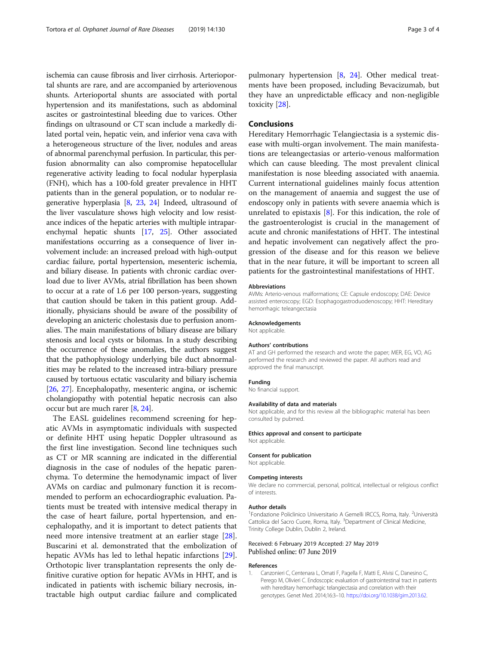<span id="page-2-0"></span>ischemia can cause fibrosis and liver cirrhosis. Arterioportal shunts are rare, and are accompanied by arteriovenous shunts. Arterioportal shunts are associated with portal hypertension and its manifestations, such as abdominal ascites or gastrointestinal bleeding due to varices. Other findings on ultrasound or CT scan include a markedly dilated portal vein, hepatic vein, and inferior vena cava with a heterogeneous structure of the liver, nodules and areas of abnormal parenchymal perfusion. In particular, this perfusion abnormality can also compromise hepatocellular regenerative activity leading to focal nodular hyperplasia (FNH), which has a 100-fold greater prevalence in HHT patients than in the general population, or to nodular regenerative hyperplasia [\[8,](#page-3-0) [23](#page-3-0), [24\]](#page-3-0) Indeed, ultrasound of the liver vasculature shows high velocity and low resistance indices of the hepatic arteries with multiple intraparenchymal hepatic shunts [[17](#page-3-0), [25\]](#page-3-0). Other associated manifestations occurring as a consequence of liver involvement include: an increased preload with high-output cardiac failure, portal hypertension, mesenteric ischemia, and biliary disease. In patients with chronic cardiac overload due to liver AVMs, atrial fibrillation has been shown to occur at a rate of 1.6 per 100 person-years, suggesting that caution should be taken in this patient group. Additionally, physicians should be aware of the possibility of developing an anicteric cholestasis due to perfusion anomalies. The main manifestations of biliary disease are biliary stenosis and local cysts or bilomas. In a study describing the occurrence of these anomalies, the authors suggest that the pathophysiology underlying bile duct abnormalities may be related to the increased intra-biliary pressure caused by tortuous ectatic vascularity and biliary ischemia [[26](#page-3-0), [27\]](#page-3-0). Encephalopathy, mesenteric angina, or ischemic cholangiopathy with potential hepatic necrosis can also occur but are much rarer [\[8](#page-3-0), [24](#page-3-0)].

The EASL guidelines recommend screening for hepatic AVMs in asymptomatic individuals with suspected or definite HHT using hepatic Doppler ultrasound as the first line investigation. Second line techniques such as CT or MR scanning are indicated in the differential diagnosis in the case of nodules of the hepatic parenchyma. To determine the hemodynamic impact of liver AVMs on cardiac and pulmonary function it is recommended to perform an echocardiographic evaluation. Patients must be treated with intensive medical therapy in the case of heart failure, portal hypertension, and encephalopathy, and it is important to detect patients that need more intensive treatment at an earlier stage [\[28](#page-3-0)]. Buscarini et al. demonstrated that the embolization of hepatic AVMs has led to lethal hepatic infarctions [\[29](#page-3-0)]. Orthotopic liver transplantation represents the only definitive curative option for hepatic AVMs in HHT, and is indicated in patients with ischemic biliary necrosis, intractable high output cardiac failure and complicated

pulmonary hypertension [\[8,](#page-3-0) [24\]](#page-3-0). Other medical treatments have been proposed, including Bevacizumab, but they have an unpredictable efficacy and non-negligible toxicity [[28\]](#page-3-0).

### Conclusions

Hereditary Hemorrhagic Telangiectasia is a systemic disease with multi-organ involvement. The main manifestations are teleangectasias or arterio-venous malformation which can cause bleeding. The most prevalent clinical manifestation is nose bleeding associated with anaemia. Current international guidelines mainly focus attention on the management of anaemia and suggest the use of endoscopy only in patients with severe anaemia which is unrelated to epistaxis  $[8]$  $[8]$ . For this indication, the role of the gastroenterologist is crucial in the management of acute and chronic manifestations of HHT. The intestinal and hepatic involvement can negatively affect the progression of the disease and for this reason we believe that in the near future, it will be important to screen all patients for the gastrointestinal manifestations of HHT.

#### Abbreviations

AVMs: Arterio-venous malformations; CE: Capsule endoscopy; DAE: Device assisted enteroscopy; EGD: Esophagogastroduodenoscopy; HHT: Hereditary hemorrhagic teleangectasia

#### Acknowledgements

Not applicable.

#### Authors' contributions

AT and GH performed the research and wrote the paper; MER, EG, VO, AG performed the research and reviewed the paper. All authors read and approved the final manuscript.

#### Funding

No financial support.

#### Availability of data and materials

Not applicable, and for this review all the bibliographic material has been consulted by pubmed.

#### Ethics approval and consent to participate

Not applicable.

#### Consent for publication

Not applicable.

#### Competing interests

We declare no commercial, personal, political, intellectual or religious conflict of interests.

#### Author details

<sup>1</sup> Fondazione Policlinico Universitario A Gemelli IRCCS, Roma, Italy. <sup>2</sup> Università Cattolica del Sacro Cuore, Roma, Italy. <sup>3</sup>Department of Clinical Medicine Trinity College Dublin, Dublin 2, Ireland.

#### Received: 6 February 2019 Accepted: 27 May 2019 Published online: 07 June 2019

#### References

1. Canzonieri C, Centenara L, Ornati F, Pagella F, Matti E, Alvisi C, Danesino C, Perego M, Olivieri C. Endoscopic evaluation of gastrointestinal tract in patients with hereditary hemorrhagic telangiectasia and correlation with their genotypes. Genet Med. 2014;16:3–10. [https://doi.org/10.1038/gim.2013.62.](https://doi.org/10.1038/gim.2013.62)